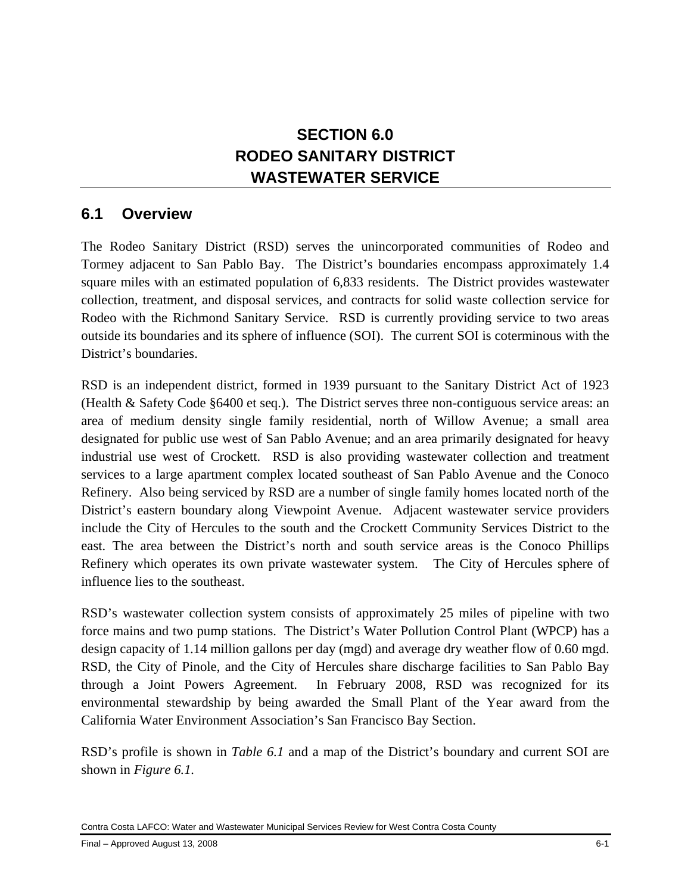## **SECTION 6.0 RODEO SANITARY DISTRICT WASTEWATER SERVICE**

## **6.1 Overview**

The Rodeo Sanitary District (RSD) serves the unincorporated communities of Rodeo and Tormey adjacent to San Pablo Bay. The District's boundaries encompass approximately 1.4 square miles with an estimated population of 6,833 residents. The District provides wastewater collection, treatment, and disposal services, and contracts for solid waste collection service for Rodeo with the Richmond Sanitary Service. RSD is currently providing service to two areas outside its boundaries and its sphere of influence (SOI). The current SOI is coterminous with the District's boundaries.

RSD is an independent district, formed in 1939 pursuant to the Sanitary District Act of 1923 (Health & Safety Code §6400 et seq.). The District serves three non-contiguous service areas: an area of medium density single family residential, north of Willow Avenue; a small area designated for public use west of San Pablo Avenue; and an area primarily designated for heavy industrial use west of Crockett. RSD is also providing wastewater collection and treatment services to a large apartment complex located southeast of San Pablo Avenue and the Conoco Refinery. Also being serviced by RSD are a number of single family homes located north of the District's eastern boundary along Viewpoint Avenue. Adjacent wastewater service providers include the City of Hercules to the south and the Crockett Community Services District to the east. The area between the District's north and south service areas is the Conoco Phillips Refinery which operates its own private wastewater system. The City of Hercules sphere of influence lies to the southeast.

RSD's wastewater collection system consists of approximately 25 miles of pipeline with two force mains and two pump stations. The District's Water Pollution Control Plant (WPCP) has a design capacity of 1.14 million gallons per day (mgd) and average dry weather flow of 0.60 mgd. RSD, the City of Pinole, and the City of Hercules share discharge facilities to San Pablo Bay through a Joint Powers Agreement. In February 2008, RSD was recognized for its environmental stewardship by being awarded the Small Plant of the Year award from the California Water Environment Association's San Francisco Bay Section.

RSD's profile is shown in *Table 6.1* and a map of the District's boundary and current SOI are shown in *Figure 6.1.*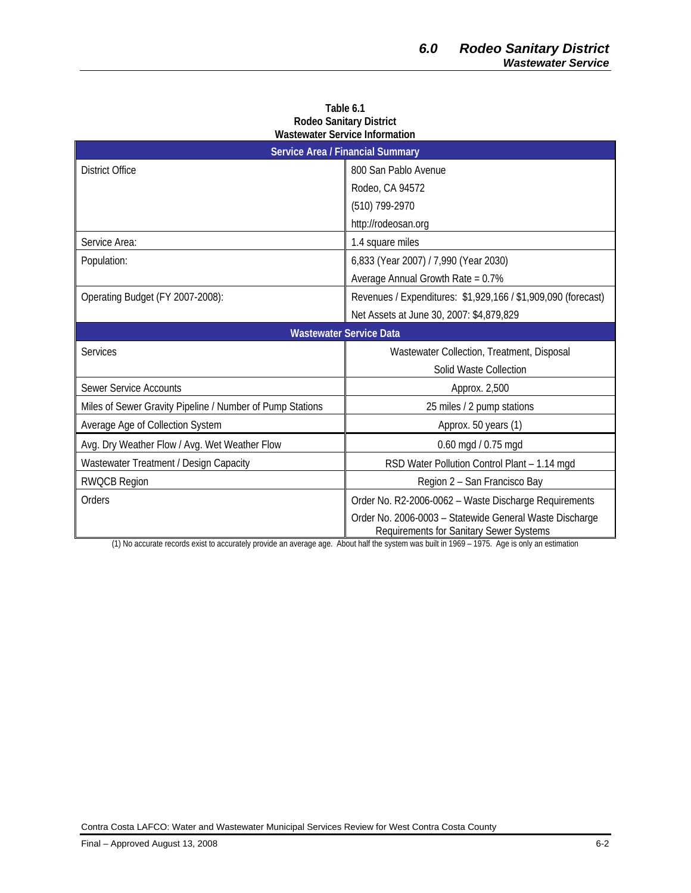| <b>Service Area / Financial Summary</b>                   |                                                                                                    |  |
|-----------------------------------------------------------|----------------------------------------------------------------------------------------------------|--|
| <b>District Office</b>                                    | 800 San Pablo Avenue                                                                               |  |
|                                                           | Rodeo, CA 94572                                                                                    |  |
|                                                           | (510) 799-2970                                                                                     |  |
|                                                           | http://rodeosan.org                                                                                |  |
| Service Area:                                             | 1.4 square miles                                                                                   |  |
| Population:                                               | 6,833 (Year 2007) / 7,990 (Year 2030)                                                              |  |
|                                                           | Average Annual Growth Rate = $0.7\%$                                                               |  |
| Operating Budget (FY 2007-2008):                          | Revenues / Expenditures: \$1,929,166 / \$1,909,090 (forecast)                                      |  |
|                                                           | Net Assets at June 30, 2007: \$4,879,829                                                           |  |
| <b>Wastewater Service Data</b>                            |                                                                                                    |  |
| <b>Services</b>                                           | Wastewater Collection, Treatment, Disposal                                                         |  |
|                                                           | Solid Waste Collection                                                                             |  |
| <b>Sewer Service Accounts</b>                             | Approx. 2,500                                                                                      |  |
| Miles of Sewer Gravity Pipeline / Number of Pump Stations | 25 miles / 2 pump stations                                                                         |  |
| Average Age of Collection System                          | Approx. 50 years (1)                                                                               |  |
| Avg. Dry Weather Flow / Avg. Wet Weather Flow             | $0.60$ mgd $/ 0.75$ mgd                                                                            |  |
| Wastewater Treatment / Design Capacity                    | RSD Water Pollution Control Plant - 1.14 mgd                                                       |  |
| <b>RWQCB Region</b>                                       | Region 2 - San Francisco Bay                                                                       |  |
| Orders                                                    | Order No. R2-2006-0062 - Waste Discharge Requirements                                              |  |
| $(4)$ $\overline{1}$                                      | Order No. 2006-0003 - Statewide General Waste Discharge<br>Requirements for Sanitary Sewer Systems |  |

**Table 6.1 Rodeo Sanitary District Wastewater Service Information** 

(1) No accurate records exist to accurately provide an average age. About half the system was built in 1969 – 1975. Age is only an estimation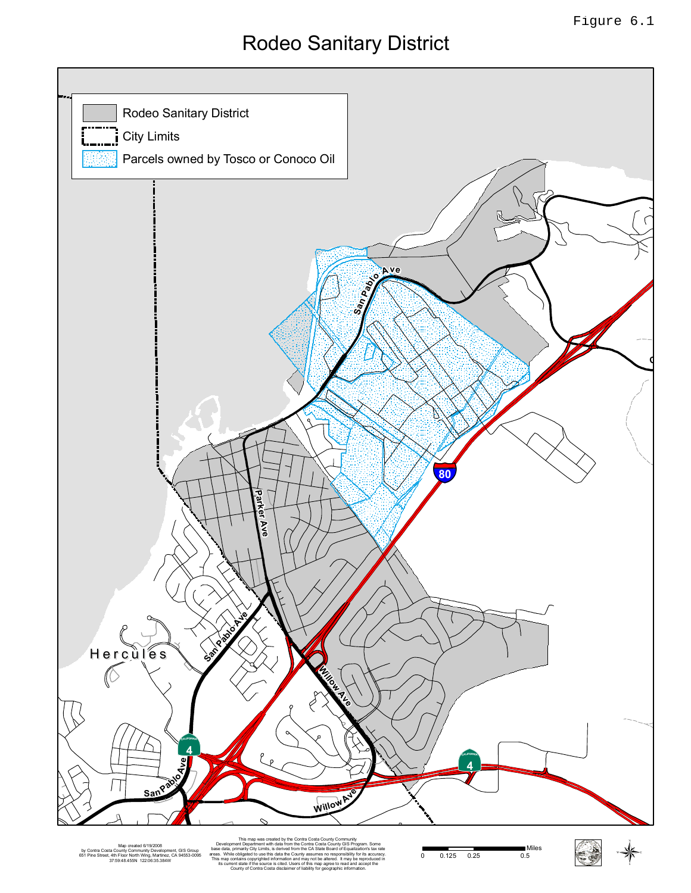# Rodeo Sanitary District



by Contra Costa County Community Development, GIS Group 651 Pine Street, 4th Floor North Wing, Martinez, CA 94553-0095 37:59:48.455N 122:06:35.384W

Map oreated 6/19/2008 Prevention Development Dependient with use an unit une CA State Doard of Equality Six-Truy and State and State Archives and CAS and Capital Capital Capital Capital Capital Capital Capital Capital Capi Development Department with data from the Contra Costa County GIS Program. Some base data, primarily City Limits, is derived from the CA State Board of Equalization's tax rate areas. While obligated to use this data the County assumes no responsibility for its accuracy. This map contains copyrighted information and may not be altered. It may be reproduced in its current state is contained. Users of this map agree to re County of Contra Costa disclaimer of liability for geographic information.

0 0.125 0.25 0.5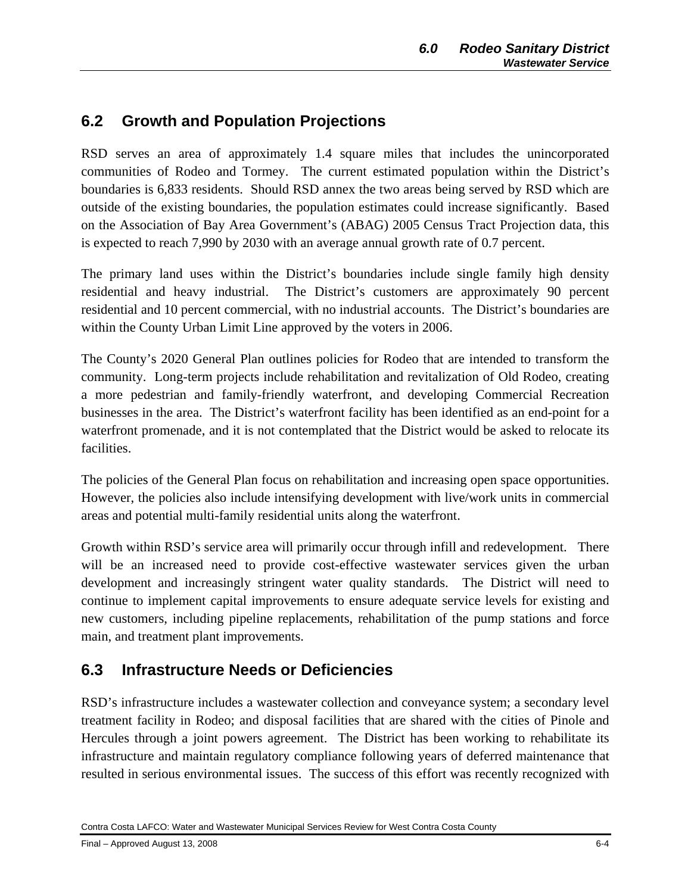## **6.2 Growth and Population Projections**

RSD serves an area of approximately 1.4 square miles that includes the unincorporated communities of Rodeo and Tormey. The current estimated population within the District's boundaries is 6,833 residents. Should RSD annex the two areas being served by RSD which are outside of the existing boundaries, the population estimates could increase significantly. Based on the Association of Bay Area Government's (ABAG) 2005 Census Tract Projection data, this is expected to reach 7,990 by 2030 with an average annual growth rate of 0.7 percent.

The primary land uses within the District's boundaries include single family high density residential and heavy industrial. The District's customers are approximately 90 percent residential and 10 percent commercial, with no industrial accounts. The District's boundaries are within the County Urban Limit Line approved by the voters in 2006.

The County's 2020 General Plan outlines policies for Rodeo that are intended to transform the community. Long-term projects include rehabilitation and revitalization of Old Rodeo, creating a more pedestrian and family-friendly waterfront, and developing Commercial Recreation businesses in the area. The District's waterfront facility has been identified as an end-point for a waterfront promenade, and it is not contemplated that the District would be asked to relocate its facilities.

The policies of the General Plan focus on rehabilitation and increasing open space opportunities. However, the policies also include intensifying development with live/work units in commercial areas and potential multi-family residential units along the waterfront.

Growth within RSD's service area will primarily occur through infill and redevelopment. There will be an increased need to provide cost-effective wastewater services given the urban development and increasingly stringent water quality standards. The District will need to continue to implement capital improvements to ensure adequate service levels for existing and new customers, including pipeline replacements, rehabilitation of the pump stations and force main, and treatment plant improvements.

## **6.3 Infrastructure Needs or Deficiencies**

RSD's infrastructure includes a wastewater collection and conveyance system; a secondary level treatment facility in Rodeo; and disposal facilities that are shared with the cities of Pinole and Hercules through a joint powers agreement. The District has been working to rehabilitate its infrastructure and maintain regulatory compliance following years of deferred maintenance that resulted in serious environmental issues. The success of this effort was recently recognized with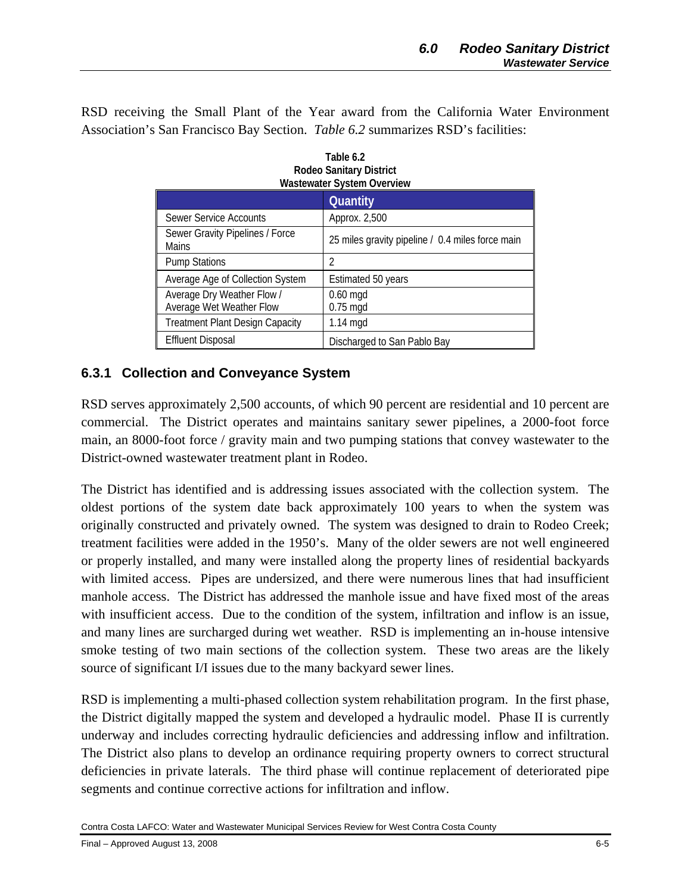RSD receiving the Small Plant of the Year award from the California Water Environment Association's San Francisco Bay Section. *Table 6.2* summarizes RSD's facilities:

| <b>Wastewater System Overview</b>                      |                                                  |  |
|--------------------------------------------------------|--------------------------------------------------|--|
|                                                        | Quantity                                         |  |
| Sewer Service Accounts                                 | Approx. 2,500                                    |  |
| Sewer Gravity Pipelines / Force<br>Mains               | 25 miles gravity pipeline / 0.4 miles force main |  |
| <b>Pump Stations</b>                                   | 2                                                |  |
| Average Age of Collection System                       | Estimated 50 years                               |  |
| Average Dry Weather Flow /<br>Average Wet Weather Flow | $0.60$ mgd<br>$0.75$ mgd                         |  |
| <b>Treatment Plant Design Capacity</b>                 | $1.14 \text{ mgd}$                               |  |
| <b>Effluent Disposal</b>                               | Discharged to San Pablo Bay                      |  |

| Table 6.2                      |
|--------------------------------|
| <b>Rodeo Sanitary District</b> |
| Wastewater System Overview     |

#### **6.3.1 Collection and Conveyance System**

RSD serves approximately 2,500 accounts, of which 90 percent are residential and 10 percent are commercial. The District operates and maintains sanitary sewer pipelines, a 2000-foot force main, an 8000-foot force / gravity main and two pumping stations that convey wastewater to the District-owned wastewater treatment plant in Rodeo.

The District has identified and is addressing issues associated with the collection system. The oldest portions of the system date back approximately 100 years to when the system was originally constructed and privately owned. The system was designed to drain to Rodeo Creek; treatment facilities were added in the 1950's. Many of the older sewers are not well engineered or properly installed, and many were installed along the property lines of residential backyards with limited access. Pipes are undersized, and there were numerous lines that had insufficient manhole access. The District has addressed the manhole issue and have fixed most of the areas with insufficient access. Due to the condition of the system, infiltration and inflow is an issue, and many lines are surcharged during wet weather. RSD is implementing an in-house intensive smoke testing of two main sections of the collection system. These two areas are the likely source of significant I/I issues due to the many backyard sewer lines.

RSD is implementing a multi-phased collection system rehabilitation program. In the first phase, the District digitally mapped the system and developed a hydraulic model. Phase II is currently underway and includes correcting hydraulic deficiencies and addressing inflow and infiltration. The District also plans to develop an ordinance requiring property owners to correct structural deficiencies in private laterals. The third phase will continue replacement of deteriorated pipe segments and continue corrective actions for infiltration and inflow.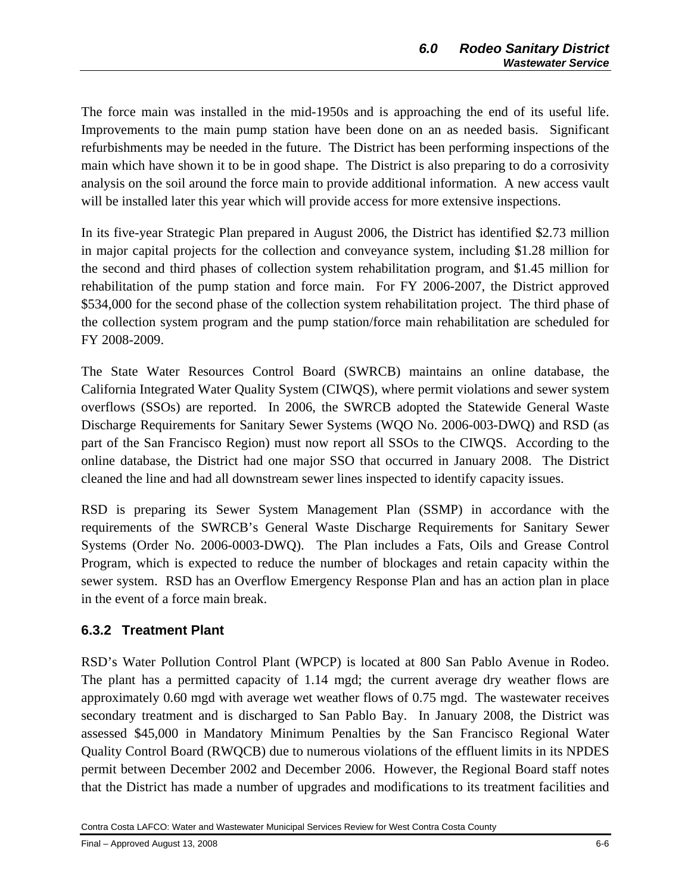The force main was installed in the mid-1950s and is approaching the end of its useful life. Improvements to the main pump station have been done on an as needed basis. Significant refurbishments may be needed in the future. The District has been performing inspections of the main which have shown it to be in good shape. The District is also preparing to do a corrosivity analysis on the soil around the force main to provide additional information. A new access vault will be installed later this year which will provide access for more extensive inspections.

In its five-year Strategic Plan prepared in August 2006, the District has identified \$2.73 million in major capital projects for the collection and conveyance system, including \$1.28 million for the second and third phases of collection system rehabilitation program, and \$1.45 million for rehabilitation of the pump station and force main. For FY 2006-2007, the District approved \$534,000 for the second phase of the collection system rehabilitation project. The third phase of the collection system program and the pump station/force main rehabilitation are scheduled for FY 2008-2009.

The State Water Resources Control Board (SWRCB) maintains an online database, the California Integrated Water Quality System (CIWQS), where permit violations and sewer system overflows (SSOs) are reported. In 2006, the SWRCB adopted the Statewide General Waste Discharge Requirements for Sanitary Sewer Systems (WQO No. 2006-003-DWQ) and RSD (as part of the San Francisco Region) must now report all SSOs to the CIWQS. According to the online database, the District had one major SSO that occurred in January 2008. The District cleaned the line and had all downstream sewer lines inspected to identify capacity issues.

RSD is preparing its Sewer System Management Plan (SSMP) in accordance with the requirements of the SWRCB's General Waste Discharge Requirements for Sanitary Sewer Systems (Order No. 2006-0003-DWQ). The Plan includes a Fats, Oils and Grease Control Program, which is expected to reduce the number of blockages and retain capacity within the sewer system. RSD has an Overflow Emergency Response Plan and has an action plan in place in the event of a force main break.

## **6.3.2 Treatment Plant**

RSD's Water Pollution Control Plant (WPCP) is located at 800 San Pablo Avenue in Rodeo. The plant has a permitted capacity of 1.14 mgd; the current average dry weather flows are approximately 0.60 mgd with average wet weather flows of 0.75 mgd. The wastewater receives secondary treatment and is discharged to San Pablo Bay. In January 2008, the District was assessed \$45,000 in Mandatory Minimum Penalties by the San Francisco Regional Water Quality Control Board (RWQCB) due to numerous violations of the effluent limits in its NPDES permit between December 2002 and December 2006. However, the Regional Board staff notes that the District has made a number of upgrades and modifications to its treatment facilities and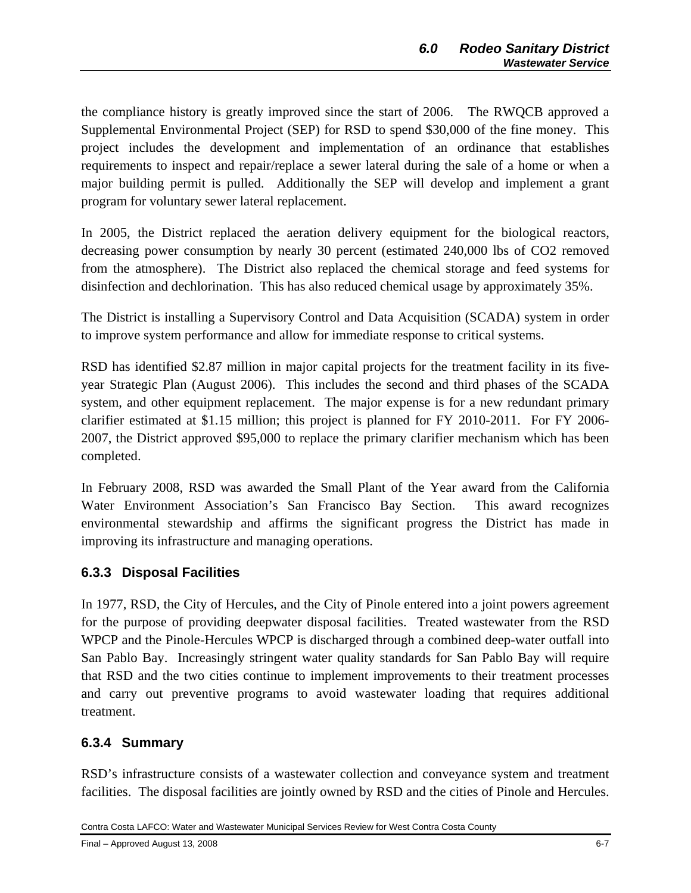the compliance history is greatly improved since the start of 2006. The RWQCB approved a Supplemental Environmental Project (SEP) for RSD to spend \$30,000 of the fine money. This project includes the development and implementation of an ordinance that establishes requirements to inspect and repair/replace a sewer lateral during the sale of a home or when a major building permit is pulled. Additionally the SEP will develop and implement a grant program for voluntary sewer lateral replacement.

In 2005, the District replaced the aeration delivery equipment for the biological reactors, decreasing power consumption by nearly 30 percent (estimated 240,000 lbs of CO2 removed from the atmosphere). The District also replaced the chemical storage and feed systems for disinfection and dechlorination. This has also reduced chemical usage by approximately 35%.

The District is installing a Supervisory Control and Data Acquisition (SCADA) system in order to improve system performance and allow for immediate response to critical systems.

RSD has identified \$2.87 million in major capital projects for the treatment facility in its fiveyear Strategic Plan (August 2006). This includes the second and third phases of the SCADA system, and other equipment replacement. The major expense is for a new redundant primary clarifier estimated at \$1.15 million; this project is planned for FY 2010-2011. For FY 2006- 2007, the District approved \$95,000 to replace the primary clarifier mechanism which has been completed.

In February 2008, RSD was awarded the Small Plant of the Year award from the California Water Environment Association's San Francisco Bay Section. This award recognizes environmental stewardship and affirms the significant progress the District has made in improving its infrastructure and managing operations.

## **6.3.3 Disposal Facilities**

In 1977, RSD, the City of Hercules, and the City of Pinole entered into a joint powers agreement for the purpose of providing deepwater disposal facilities. Treated wastewater from the RSD WPCP and the Pinole-Hercules WPCP is discharged through a combined deep-water outfall into San Pablo Bay. Increasingly stringent water quality standards for San Pablo Bay will require that RSD and the two cities continue to implement improvements to their treatment processes and carry out preventive programs to avoid wastewater loading that requires additional treatment.

## **6.3.4 Summary**

RSD's infrastructure consists of a wastewater collection and conveyance system and treatment facilities. The disposal facilities are jointly owned by RSD and the cities of Pinole and Hercules.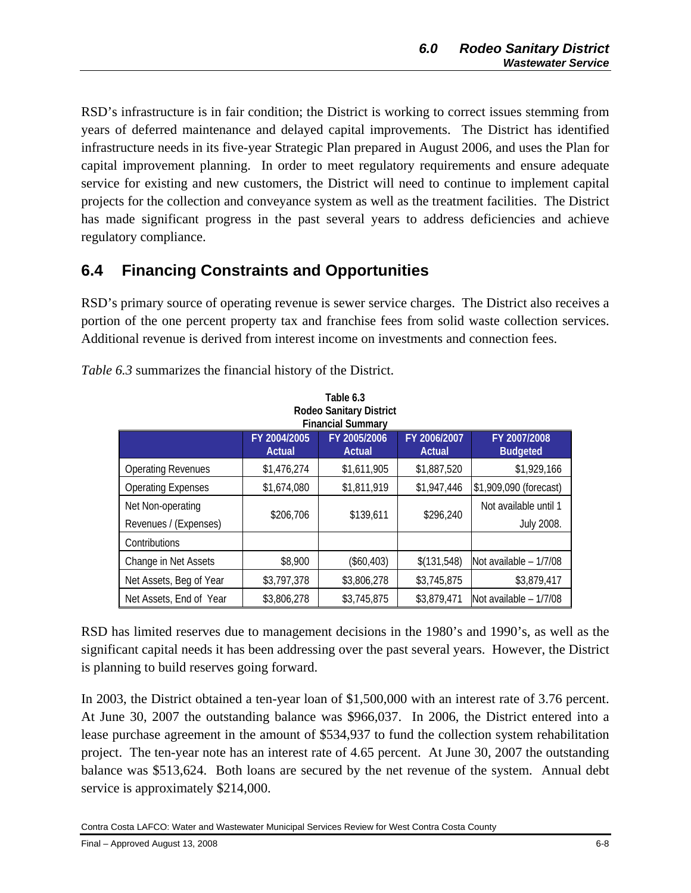RSD's infrastructure is in fair condition; the District is working to correct issues stemming from years of deferred maintenance and delayed capital improvements. The District has identified infrastructure needs in its five-year Strategic Plan prepared in August 2006, and uses the Plan for capital improvement planning. In order to meet regulatory requirements and ensure adequate service for existing and new customers, the District will need to continue to implement capital projects for the collection and conveyance system as well as the treatment facilities. The District has made significant progress in the past several years to address deficiencies and achieve regulatory compliance.

## **6.4 Financing Constraints and Opportunities**

RSD's primary source of operating revenue is sewer service charges. The District also receives a portion of the one percent property tax and franchise fees from solid waste collection services. Additional revenue is derived from interest income on investments and connection fees.

| <b>Rodeo Sanitary District</b><br><b>Financial Summary</b> |                        |                               |                        |                                 |
|------------------------------------------------------------|------------------------|-------------------------------|------------------------|---------------------------------|
|                                                            | FY 2004/2005<br>Actual | FY 2005/2006<br><b>Actual</b> | FY 2006/2007<br>Actual | FY 2007/2008<br><b>Budgeted</b> |
| <b>Operating Revenues</b>                                  | \$1,476,274            | \$1,611,905                   | \$1,887,520            | \$1,929,166                     |
| <b>Operating Expenses</b>                                  | \$1,674,080            | \$1,811,919                   | \$1,947,446            | \$1,909,090 (forecast)          |
| Net Non-operating                                          | \$206,706              | \$139,611                     | \$296,240              | Not available until 1           |
| Revenues / (Expenses)                                      |                        |                               |                        | <b>July 2008.</b>               |
| Contributions                                              |                        |                               |                        |                                 |
| Change in Net Assets                                       | \$8,900                | (\$60,403)                    | \$(131,548)            | Not available $-1/7/08$         |
| Net Assets, Beg of Year                                    | \$3,797,378            | \$3,806,278                   | \$3,745,875            | \$3,879,417                     |
| Net Assets, End of Year                                    | \$3,806,278            | \$3,745,875                   | \$3,879,471            | Not available - 1/7/08          |

*Table 6.3* summarizes the financial history of the District.

RSD has limited reserves due to management decisions in the 1980's and 1990's, as well as the significant capital needs it has been addressing over the past several years. However, the District is planning to build reserves going forward.

In 2003, the District obtained a ten-year loan of \$1,500,000 with an interest rate of 3.76 percent. At June 30, 2007 the outstanding balance was \$966,037. In 2006, the District entered into a lease purchase agreement in the amount of \$534,937 to fund the collection system rehabilitation project. The ten-year note has an interest rate of 4.65 percent. At June 30, 2007 the outstanding balance was \$513,624. Both loans are secured by the net revenue of the system. Annual debt service is approximately \$214,000.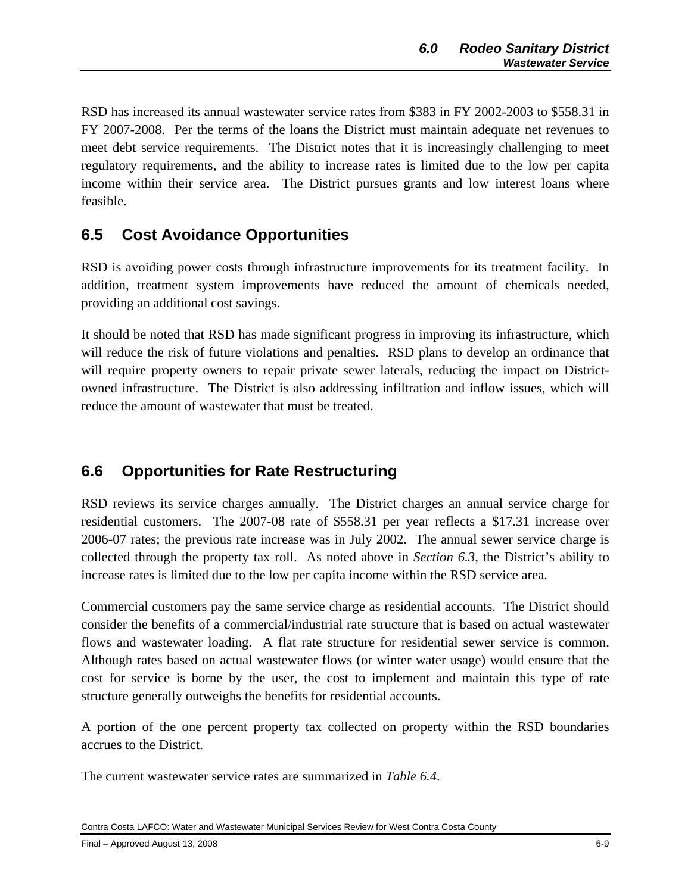RSD has increased its annual wastewater service rates from \$383 in FY 2002-2003 to \$558.31 in FY 2007-2008. Per the terms of the loans the District must maintain adequate net revenues to meet debt service requirements. The District notes that it is increasingly challenging to meet regulatory requirements, and the ability to increase rates is limited due to the low per capita income within their service area. The District pursues grants and low interest loans where feasible.

## **6.5 Cost Avoidance Opportunities**

RSD is avoiding power costs through infrastructure improvements for its treatment facility. In addition, treatment system improvements have reduced the amount of chemicals needed, providing an additional cost savings.

It should be noted that RSD has made significant progress in improving its infrastructure, which will reduce the risk of future violations and penalties. RSD plans to develop an ordinance that will require property owners to repair private sewer laterals, reducing the impact on Districtowned infrastructure. The District is also addressing infiltration and inflow issues, which will reduce the amount of wastewater that must be treated.

## **6.6 Opportunities for Rate Restructuring**

RSD reviews its service charges annually. The District charges an annual service charge for residential customers. The 2007-08 rate of \$558.31 per year reflects a \$17.31 increase over 2006-07 rates; the previous rate increase was in July 2002. The annual sewer service charge is collected through the property tax roll. As noted above in *Section 6.3*, the District's ability to increase rates is limited due to the low per capita income within the RSD service area.

Commercial customers pay the same service charge as residential accounts. The District should consider the benefits of a commercial/industrial rate structure that is based on actual wastewater flows and wastewater loading. A flat rate structure for residential sewer service is common. Although rates based on actual wastewater flows (or winter water usage) would ensure that the cost for service is borne by the user, the cost to implement and maintain this type of rate structure generally outweighs the benefits for residential accounts.

A portion of the one percent property tax collected on property within the RSD boundaries accrues to the District.

The current wastewater service rates are summarized in *Table 6.4*.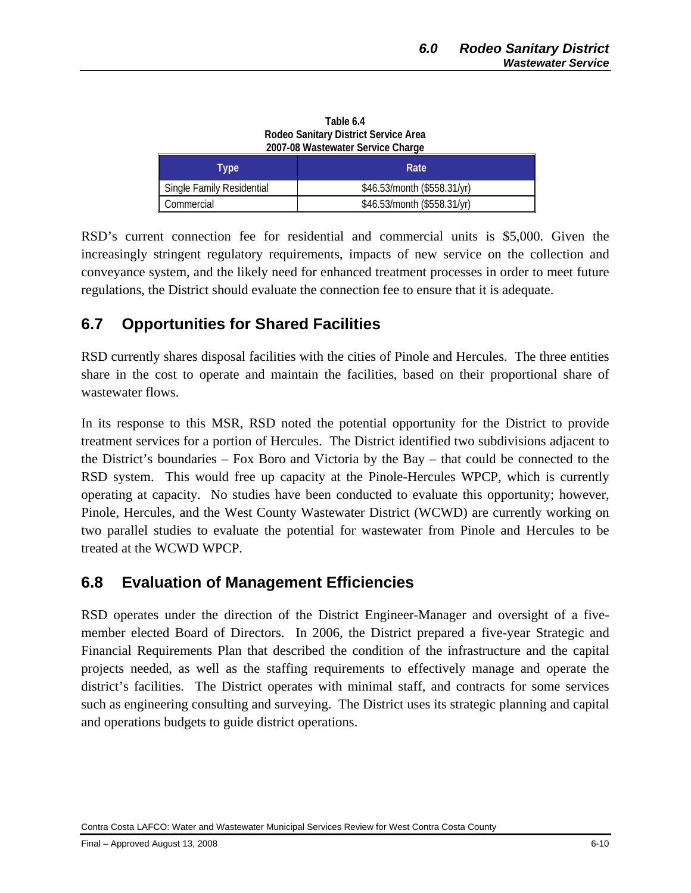| $1001$ vo $110010110101$ vol 1100 01101 go |                             |
|--------------------------------------------|-----------------------------|
| Type                                       | Rate                        |
| Single Family Residential                  | \$46.53/month (\$558.31/yr) |
| Commercial                                 | \$46.53/month (\$558.31/yr) |

**Table 6.4 Rodeo Sanitary District Service Area 2007-08 Wastewater Service Charge** 

RSD's current connection fee for residential and commercial units is \$5,000. Given the increasingly stringent regulatory requirements, impacts of new service on the collection and conveyance system, and the likely need for enhanced treatment processes in order to meet future regulations, the District should evaluate the connection fee to ensure that it is adequate.

## **6.7 Opportunities for Shared Facilities**

RSD currently shares disposal facilities with the cities of Pinole and Hercules. The three entities share in the cost to operate and maintain the facilities, based on their proportional share of wastewater flows.

In its response to this MSR, RSD noted the potential opportunity for the District to provide treatment services for a portion of Hercules. The District identified two subdivisions adjacent to the District's boundaries – Fox Boro and Victoria by the Bay – that could be connected to the RSD system. This would free up capacity at the Pinole-Hercules WPCP, which is currently operating at capacity. No studies have been conducted to evaluate this opportunity; however, Pinole, Hercules, and the West County Wastewater District (WCWD) are currently working on two parallel studies to evaluate the potential for wastewater from Pinole and Hercules to be treated at the WCWD WPCP.

## **6.8 Evaluation of Management Efficiencies**

RSD operates under the direction of the District Engineer-Manager and oversight of a fivemember elected Board of Directors. In 2006, the District prepared a five-year Strategic and Financial Requirements Plan that described the condition of the infrastructure and the capital projects needed, as well as the staffing requirements to effectively manage and operate the district's facilities. The District operates with minimal staff, and contracts for some services such as engineering consulting and surveying. The District uses its strategic planning and capital and operations budgets to guide district operations.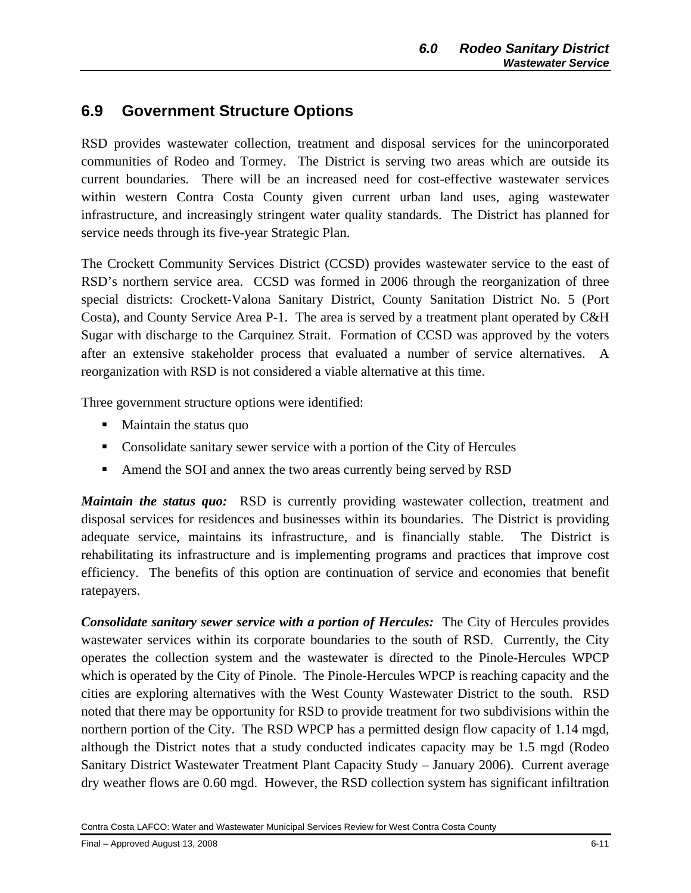## **6.9 Government Structure Options**

RSD provides wastewater collection, treatment and disposal services for the unincorporated communities of Rodeo and Tormey. The District is serving two areas which are outside its current boundaries. There will be an increased need for cost-effective wastewater services within western Contra Costa County given current urban land uses, aging wastewater infrastructure, and increasingly stringent water quality standards. The District has planned for service needs through its five-year Strategic Plan.

The Crockett Community Services District (CCSD) provides wastewater service to the east of RSD's northern service area. CCSD was formed in 2006 through the reorganization of three special districts: Crockett-Valona Sanitary District, County Sanitation District No. 5 (Port Costa), and County Service Area P-1. The area is served by a treatment plant operated by C&H Sugar with discharge to the Carquinez Strait. Formation of CCSD was approved by the voters after an extensive stakeholder process that evaluated a number of service alternatives. A reorganization with RSD is not considered a viable alternative at this time.

Three government structure options were identified:

- Maintain the status quo
- Consolidate sanitary sewer service with a portion of the City of Hercules
- Amend the SOI and annex the two areas currently being served by RSD

*Maintain the status quo:* RSD is currently providing wastewater collection, treatment and disposal services for residences and businesses within its boundaries. The District is providing adequate service, maintains its infrastructure, and is financially stable. The District is rehabilitating its infrastructure and is implementing programs and practices that improve cost efficiency. The benefits of this option are continuation of service and economies that benefit ratepayers.

*Consolidate sanitary sewer service with a portion of Hercules:* The City of Hercules provides wastewater services within its corporate boundaries to the south of RSD. Currently, the City operates the collection system and the wastewater is directed to the Pinole-Hercules WPCP which is operated by the City of Pinole. The Pinole-Hercules WPCP is reaching capacity and the cities are exploring alternatives with the West County Wastewater District to the south. RSD noted that there may be opportunity for RSD to provide treatment for two subdivisions within the northern portion of the City. The RSD WPCP has a permitted design flow capacity of 1.14 mgd, although the District notes that a study conducted indicates capacity may be 1.5 mgd (Rodeo Sanitary District Wastewater Treatment Plant Capacity Study – January 2006). Current average dry weather flows are 0.60 mgd. However, the RSD collection system has significant infiltration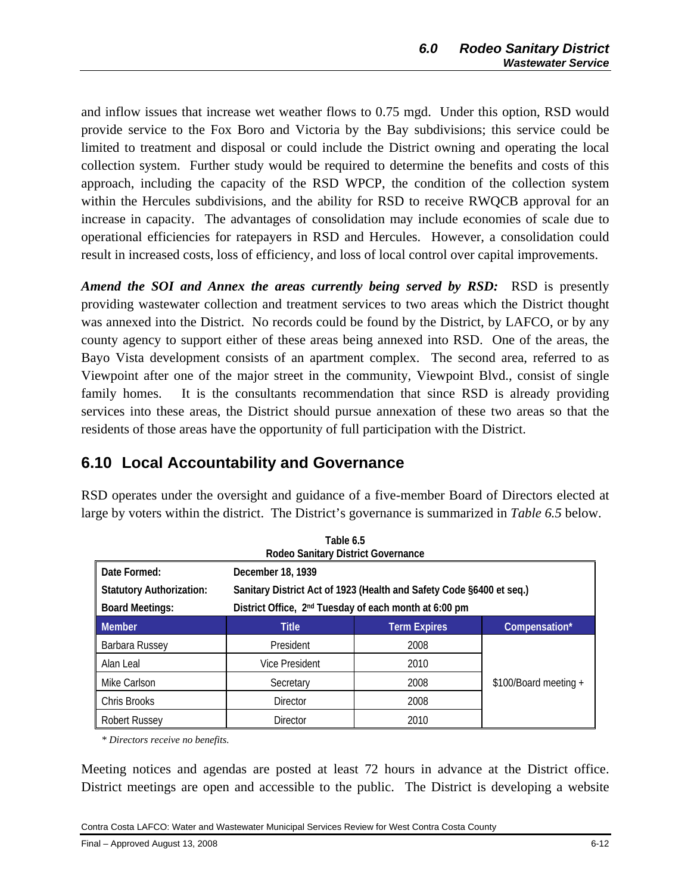and inflow issues that increase wet weather flows to 0.75 mgd. Under this option, RSD would provide service to the Fox Boro and Victoria by the Bay subdivisions; this service could be limited to treatment and disposal or could include the District owning and operating the local collection system. Further study would be required to determine the benefits and costs of this approach, including the capacity of the RSD WPCP, the condition of the collection system within the Hercules subdivisions, and the ability for RSD to receive RWQCB approval for an increase in capacity. The advantages of consolidation may include economies of scale due to operational efficiencies for ratepayers in RSD and Hercules. However, a consolidation could result in increased costs, loss of efficiency, and loss of local control over capital improvements.

*Amend the SOI and Annex the areas currently being served by RSD:* RSD is presently providing wastewater collection and treatment services to two areas which the District thought was annexed into the District. No records could be found by the District, by LAFCO, or by any county agency to support either of these areas being annexed into RSD. One of the areas, the Bayo Vista development consists of an apartment complex. The second area, referred to as Viewpoint after one of the major street in the community, Viewpoint Blvd., consist of single family homes. It is the consultants recommendation that since RSD is already providing services into these areas, the District should pursue annexation of these two areas so that the residents of those areas have the opportunity of full participation with the District.

## **6.10 Local Accountability and Governance**

| Table 6.5<br>Rodeo Sanitary District Governance |                                                                      |                     |                       |
|-------------------------------------------------|----------------------------------------------------------------------|---------------------|-----------------------|
| Date Formed:                                    | December 18, 1939                                                    |                     |                       |
| <b>Statutory Authorization:</b>                 | Sanitary District Act of 1923 (Health and Safety Code §6400 et seq.) |                     |                       |
| <b>Board Meetings:</b>                          | District Office, 2 <sup>nd</sup> Tuesday of each month at 6:00 pm    |                     |                       |
| <b>Member</b>                                   | <b>Title</b>                                                         | <b>Term Expires</b> | Compensation*         |
| Barbara Russey                                  | President                                                            | 2008                |                       |
| Alan Leal                                       | <b>Vice President</b>                                                | 2010                |                       |
| Mike Carlson                                    | Secretary                                                            | 2008                | \$100/Board meeting + |
| Chris Brooks                                    | <b>Director</b>                                                      | 2008                |                       |
| <b>Robert Russey</b>                            | <b>Director</b>                                                      | 2010                |                       |

RSD operates under the oversight and guidance of a five-member Board of Directors elected at large by voters within the district. The District's governance is summarized in *Table 6.5* below.

*\* Directors receive no benefits.* 

Meeting notices and agendas are posted at least 72 hours in advance at the District office. District meetings are open and accessible to the public. The District is developing a website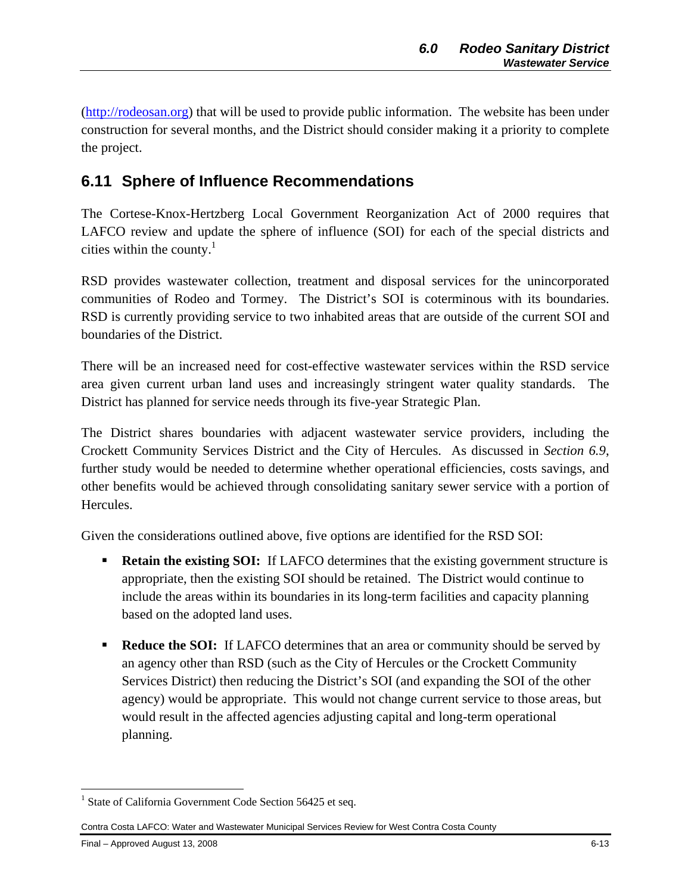(http://rodeosan.org) that will be used to provide public information. The website has been under construction for several months, and the District should consider making it a priority to complete the project.

## **6.11 Sphere of Influence Recommendations**

The Cortese-Knox-Hertzberg Local Government Reorganization Act of 2000 requires that LAFCO review and update the sphere of influence (SOI) for each of the special districts and cities within the county. $1$ 

RSD provides wastewater collection, treatment and disposal services for the unincorporated communities of Rodeo and Tormey. The District's SOI is coterminous with its boundaries. RSD is currently providing service to two inhabited areas that are outside of the current SOI and boundaries of the District.

There will be an increased need for cost-effective wastewater services within the RSD service area given current urban land uses and increasingly stringent water quality standards. The District has planned for service needs through its five-year Strategic Plan.

The District shares boundaries with adjacent wastewater service providers, including the Crockett Community Services District and the City of Hercules. As discussed in *Section 6.9*, further study would be needed to determine whether operational efficiencies, costs savings, and other benefits would be achieved through consolidating sanitary sewer service with a portion of Hercules.

Given the considerations outlined above, five options are identified for the RSD SOI:

- **Retain the existing SOI:** If LAFCO determines that the existing government structure is appropriate, then the existing SOI should be retained. The District would continue to include the areas within its boundaries in its long-term facilities and capacity planning based on the adopted land uses.
- **Reduce the SOI:** If LAFCO determines that an area or community should be served by an agency other than RSD (such as the City of Hercules or the Crockett Community Services District) then reducing the District's SOI (and expanding the SOI of the other agency) would be appropriate. This would not change current service to those areas, but would result in the affected agencies adjusting capital and long-term operational planning.

 $\overline{a}$ <sup>1</sup> State of California Government Code Section 56425 et seq.

Contra Costa LAFCO: Water and Wastewater Municipal Services Review for West Contra Costa County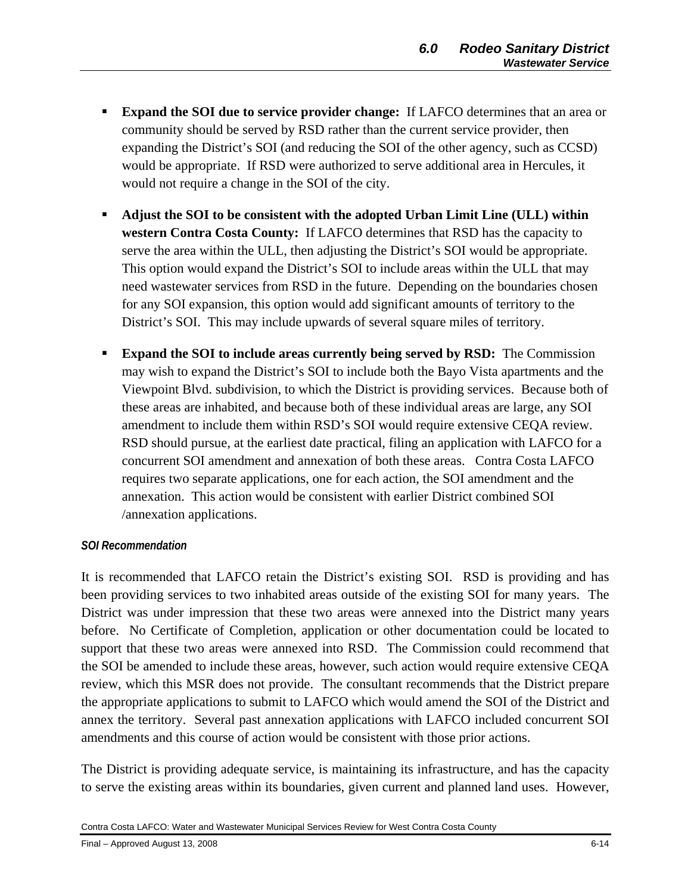- **Expand the SOI due to service provider change:** If LAFCO determines that an area or community should be served by RSD rather than the current service provider, then expanding the District's SOI (and reducing the SOI of the other agency, such as CCSD) would be appropriate. If RSD were authorized to serve additional area in Hercules, it would not require a change in the SOI of the city.
- **Adjust the SOI to be consistent with the adopted Urban Limit Line (ULL) within western Contra Costa County:** If LAFCO determines that RSD has the capacity to serve the area within the ULL, then adjusting the District's SOI would be appropriate. This option would expand the District's SOI to include areas within the ULL that may need wastewater services from RSD in the future. Depending on the boundaries chosen for any SOI expansion, this option would add significant amounts of territory to the District's SOI. This may include upwards of several square miles of territory.
- **Expand the SOI to include areas currently being served by RSD:** The Commission may wish to expand the District's SOI to include both the Bayo Vista apartments and the Viewpoint Blvd. subdivision, to which the District is providing services. Because both of these areas are inhabited, and because both of these individual areas are large, any SOI amendment to include them within RSD's SOI would require extensive CEQA review. RSD should pursue, at the earliest date practical, filing an application with LAFCO for a concurrent SOI amendment and annexation of both these areas. Contra Costa LAFCO requires two separate applications, one for each action, the SOI amendment and the annexation. This action would be consistent with earlier District combined SOI /annexation applications.

#### *SOI Recommendation*

It is recommended that LAFCO retain the District's existing SOI. RSD is providing and has been providing services to two inhabited areas outside of the existing SOI for many years. The District was under impression that these two areas were annexed into the District many years before. No Certificate of Completion, application or other documentation could be located to support that these two areas were annexed into RSD. The Commission could recommend that the SOI be amended to include these areas, however, such action would require extensive CEQA review, which this MSR does not provide. The consultant recommends that the District prepare the appropriate applications to submit to LAFCO which would amend the SOI of the District and annex the territory. Several past annexation applications with LAFCO included concurrent SOI amendments and this course of action would be consistent with those prior actions.

The District is providing adequate service, is maintaining its infrastructure, and has the capacity to serve the existing areas within its boundaries, given current and planned land uses. However,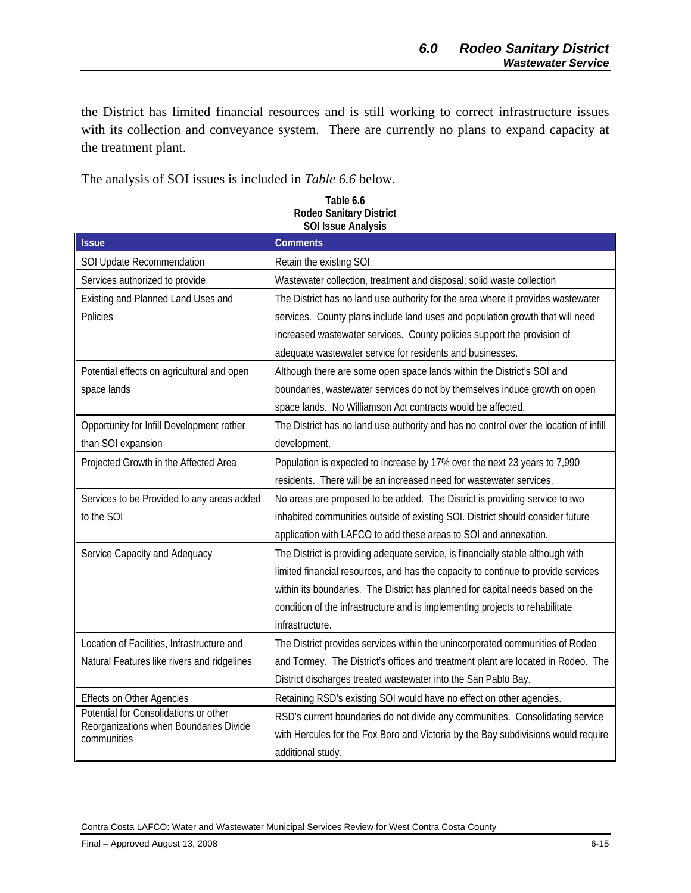the District has limited financial resources and is still working to correct infrastructure issues with its collection and conveyance system. There are currently no plans to expand capacity at the treatment plant.

The analysis of SOI issues is included in *Table 6.6* below.

| <b>Issue</b>                                          | <b>Comments</b>                                                                       |
|-------------------------------------------------------|---------------------------------------------------------------------------------------|
| SOI Update Recommendation                             | Retain the existing SOI                                                               |
| Services authorized to provide                        | Wastewater collection, treatment and disposal; solid waste collection                 |
| Existing and Planned Land Uses and                    | The District has no land use authority for the area where it provides wastewater      |
| Policies                                              | services. County plans include land uses and population growth that will need         |
|                                                       | increased wastewater services. County policies support the provision of               |
|                                                       | adequate wastewater service for residents and businesses.                             |
| Potential effects on agricultural and open            | Although there are some open space lands within the District's SOI and                |
| space lands                                           | boundaries, wastewater services do not by themselves induce growth on open            |
|                                                       | space lands. No Williamson Act contracts would be affected.                           |
| Opportunity for Infill Development rather             | The District has no land use authority and has no control over the location of infill |
| than SOI expansion                                    | development.                                                                          |
| Projected Growth in the Affected Area                 | Population is expected to increase by 17% over the next 23 years to 7,990             |
|                                                       | residents. There will be an increased need for wastewater services.                   |
| Services to be Provided to any areas added            | No areas are proposed to be added. The District is providing service to two           |
| to the SOI                                            | inhabited communities outside of existing SOI. District should consider future        |
|                                                       | application with LAFCO to add these areas to SOI and annexation.                      |
| Service Capacity and Adequacy                         | The District is providing adequate service, is financially stable although with       |
|                                                       | limited financial resources, and has the capacity to continue to provide services     |
|                                                       | within its boundaries. The District has planned for capital needs based on the        |
|                                                       | condition of the infrastructure and is implementing projects to rehabilitate          |
|                                                       | infrastructure.                                                                       |
| Location of Facilities, Infrastructure and            | The District provides services within the unincorporated communities of Rodeo         |
| Natural Features like rivers and ridgelines           | and Tormey. The District's offices and treatment plant are located in Rodeo. The      |
|                                                       | District discharges treated wastewater into the San Pablo Bay.                        |
| <b>Effects on Other Agencies</b>                      | Retaining RSD's existing SOI would have no effect on other agencies.                  |
| Potential for Consolidations or other                 | RSD's current boundaries do not divide any communities. Consolidating service         |
| Reorganizations when Boundaries Divide<br>communities | with Hercules for the Fox Boro and Victoria by the Bay subdivisions would require     |
|                                                       | additional study.                                                                     |

#### **Table 6.6 Rodeo Sanitary District SOI Issue Analysis**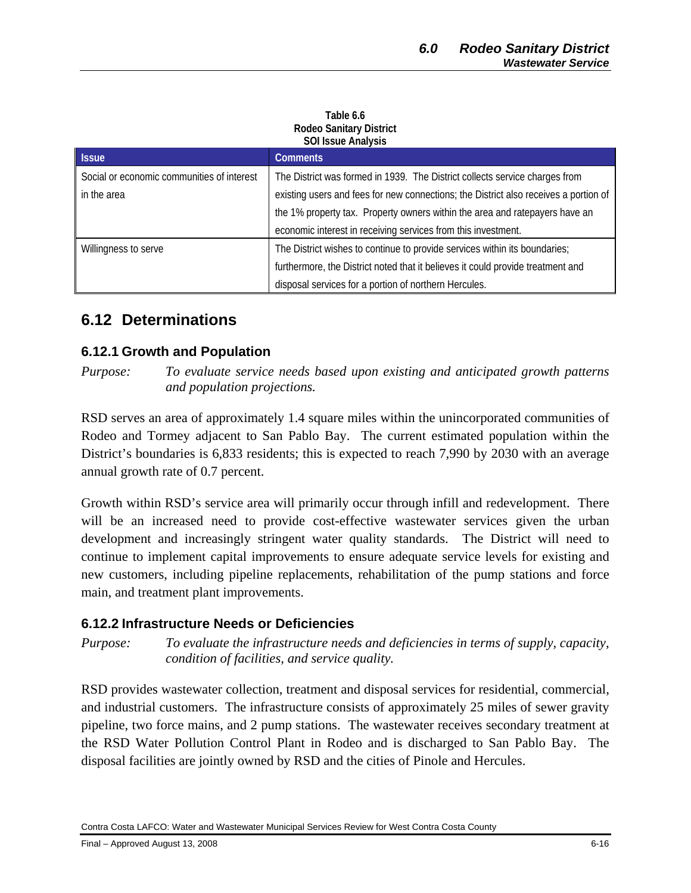#### **Table 6.6 Rodeo Sanitary District SOI Issue Analysis**

| <b>Issue</b>                               | <b>Comments</b>                                                                      |
|--------------------------------------------|--------------------------------------------------------------------------------------|
| Social or economic communities of interest | The District was formed in 1939. The District collects service charges from          |
| in the area                                | existing users and fees for new connections; the District also receives a portion of |
|                                            | the 1% property tax. Property owners within the area and ratepayers have an          |
|                                            | economic interest in receiving services from this investment.                        |
| Willingness to serve                       | The District wishes to continue to provide services within its boundaries;           |
|                                            | furthermore, the District noted that it believes it could provide treatment and      |
|                                            | disposal services for a portion of northern Hercules.                                |

## **6.12 Determinations**

#### **6.12.1 Growth and Population**

*Purpose: To evaluate service needs based upon existing and anticipated growth patterns and population projections.* 

RSD serves an area of approximately 1.4 square miles within the unincorporated communities of Rodeo and Tormey adjacent to San Pablo Bay. The current estimated population within the District's boundaries is 6,833 residents; this is expected to reach 7,990 by 2030 with an average annual growth rate of 0.7 percent.

Growth within RSD's service area will primarily occur through infill and redevelopment. There will be an increased need to provide cost-effective wastewater services given the urban development and increasingly stringent water quality standards. The District will need to continue to implement capital improvements to ensure adequate service levels for existing and new customers, including pipeline replacements, rehabilitation of the pump stations and force main, and treatment plant improvements.

## **6.12.2 Infrastructure Needs or Deficiencies**

*Purpose: To evaluate the infrastructure needs and deficiencies in terms of supply, capacity, condition of facilities, and service quality.* 

RSD provides wastewater collection, treatment and disposal services for residential, commercial, and industrial customers. The infrastructure consists of approximately 25 miles of sewer gravity pipeline, two force mains, and 2 pump stations. The wastewater receives secondary treatment at the RSD Water Pollution Control Plant in Rodeo and is discharged to San Pablo Bay. The disposal facilities are jointly owned by RSD and the cities of Pinole and Hercules.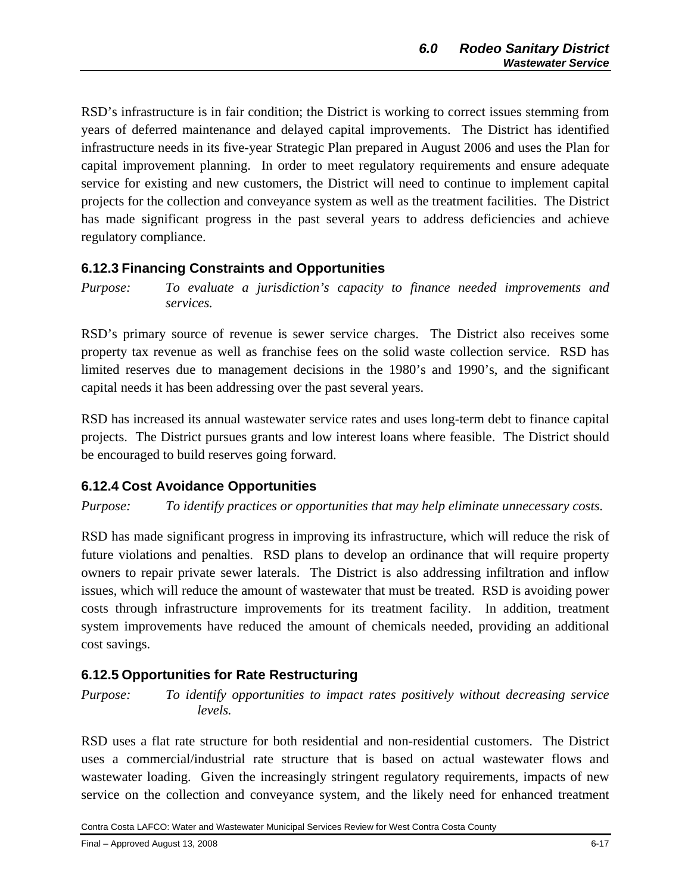RSD's infrastructure is in fair condition; the District is working to correct issues stemming from years of deferred maintenance and delayed capital improvements. The District has identified infrastructure needs in its five-year Strategic Plan prepared in August 2006 and uses the Plan for capital improvement planning. In order to meet regulatory requirements and ensure adequate service for existing and new customers, the District will need to continue to implement capital projects for the collection and conveyance system as well as the treatment facilities. The District has made significant progress in the past several years to address deficiencies and achieve regulatory compliance.

## **6.12.3 Financing Constraints and Opportunities**

*Purpose: To evaluate a jurisdiction's capacity to finance needed improvements and services.* 

RSD's primary source of revenue is sewer service charges. The District also receives some property tax revenue as well as franchise fees on the solid waste collection service. RSD has limited reserves due to management decisions in the 1980's and 1990's, and the significant capital needs it has been addressing over the past several years.

RSD has increased its annual wastewater service rates and uses long-term debt to finance capital projects. The District pursues grants and low interest loans where feasible. The District should be encouraged to build reserves going forward.

## **6.12.4 Cost Avoidance Opportunities**

*Purpose: To identify practices or opportunities that may help eliminate unnecessary costs.* 

RSD has made significant progress in improving its infrastructure, which will reduce the risk of future violations and penalties. RSD plans to develop an ordinance that will require property owners to repair private sewer laterals. The District is also addressing infiltration and inflow issues, which will reduce the amount of wastewater that must be treated. RSD is avoiding power costs through infrastructure improvements for its treatment facility. In addition, treatment system improvements have reduced the amount of chemicals needed, providing an additional cost savings.

## **6.12.5 Opportunities for Rate Restructuring**

*Purpose: To identify opportunities to impact rates positively without decreasing service levels.* 

RSD uses a flat rate structure for both residential and non-residential customers. The District uses a commercial/industrial rate structure that is based on actual wastewater flows and wastewater loading. Given the increasingly stringent regulatory requirements, impacts of new service on the collection and conveyance system, and the likely need for enhanced treatment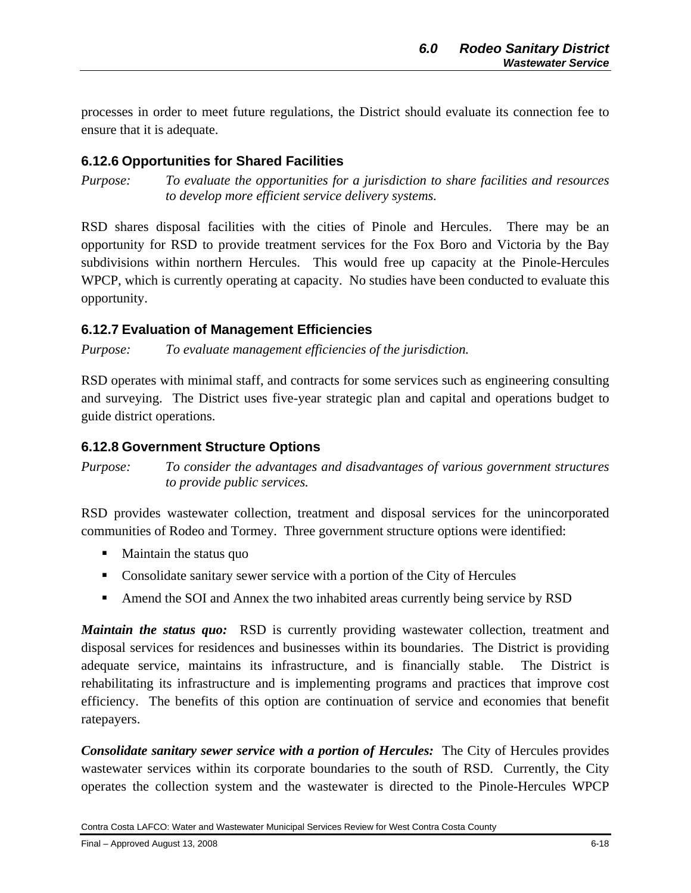processes in order to meet future regulations, the District should evaluate its connection fee to ensure that it is adequate.

## **6.12.6 Opportunities for Shared Facilities**

*Purpose: To evaluate the opportunities for a jurisdiction to share facilities and resources to develop more efficient service delivery systems.* 

RSD shares disposal facilities with the cities of Pinole and Hercules. There may be an opportunity for RSD to provide treatment services for the Fox Boro and Victoria by the Bay subdivisions within northern Hercules. This would free up capacity at the Pinole-Hercules WPCP, which is currently operating at capacity. No studies have been conducted to evaluate this opportunity.

#### **6.12.7 Evaluation of Management Efficiencies**

*Purpose: To evaluate management efficiencies of the jurisdiction.* 

RSD operates with minimal staff, and contracts for some services such as engineering consulting and surveying. The District uses five-year strategic plan and capital and operations budget to guide district operations.

#### **6.12.8 Government Structure Options**

*Purpose: To consider the advantages and disadvantages of various government structures to provide public services.* 

RSD provides wastewater collection, treatment and disposal services for the unincorporated communities of Rodeo and Tormey. Three government structure options were identified:

- $\blacksquare$  Maintain the status quo
- Consolidate sanitary sewer service with a portion of the City of Hercules
- Amend the SOI and Annex the two inhabited areas currently being service by RSD

*Maintain the status quo:* RSD is currently providing wastewater collection, treatment and disposal services for residences and businesses within its boundaries. The District is providing adequate service, maintains its infrastructure, and is financially stable. The District is rehabilitating its infrastructure and is implementing programs and practices that improve cost efficiency. The benefits of this option are continuation of service and economies that benefit ratepayers.

*Consolidate sanitary sewer service with a portion of Hercules:* The City of Hercules provides wastewater services within its corporate boundaries to the south of RSD. Currently, the City operates the collection system and the wastewater is directed to the Pinole-Hercules WPCP